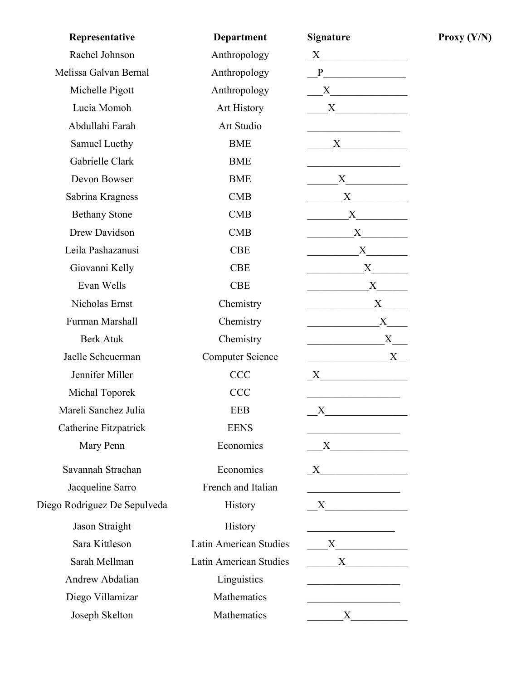| Representative               | <b>Department</b>       | Signature                                                                                                            |
|------------------------------|-------------------------|----------------------------------------------------------------------------------------------------------------------|
| Rachel Johnson               | Anthropology            | $\boldsymbol{X}$ and $\boldsymbol{X}$                                                                                |
| Melissa Galvan Bernal        | Anthropology            | P                                                                                                                    |
| Michelle Pigott              | Anthropology            |                                                                                                                      |
| Lucia Momoh                  | <b>Art History</b>      | $X \sim$                                                                                                             |
| Abdullahi Farah              | Art Studio              |                                                                                                                      |
| Samuel Luethy                | <b>BME</b>              | $X \sim$                                                                                                             |
| Gabrielle Clark              | <b>BME</b>              |                                                                                                                      |
| Devon Bowser                 | <b>BME</b>              | $X \sim$                                                                                                             |
| Sabrina Kragness             | <b>CMB</b>              | X                                                                                                                    |
| <b>Bethany Stone</b>         | CMB                     | X                                                                                                                    |
| Drew Davidson                | CMB                     | X                                                                                                                    |
| Leila Pashazanusi            | <b>CBE</b>              | X                                                                                                                    |
| Giovanni Kelly               | <b>CBE</b>              | X                                                                                                                    |
| Evan Wells                   | <b>CBE</b>              | X                                                                                                                    |
| Nicholas Ernst               | Chemistry               | X                                                                                                                    |
| Furman Marshall              | Chemistry               | X                                                                                                                    |
| <b>Berk Atuk</b>             | Chemistry               | X                                                                                                                    |
| Jaelle Scheuerman            | <b>Computer Science</b> | X                                                                                                                    |
| Jennifer Miller              | <b>CCC</b>              | $\boldsymbol{\mathrm{X}}$                                                                                            |
| Michal Toporek               | <b>CCC</b>              |                                                                                                                      |
| Mareli Sanchez Julia         | <b>EEB</b>              | X                                                                                                                    |
| Catherine Fitzpatrick        | <b>EENS</b>             | <u> 1989 - Johann Barn, mars eta bainar eta bainar eta baina eta baina eta baina eta baina eta baina eta baina e</u> |
| Mary Penn                    | Economics               |                                                                                                                      |
| Savannah Strachan            | Economics               | X                                                                                                                    |
| Jacqueline Sarro             | French and Italian      |                                                                                                                      |
| Diego Rodriguez De Sepulveda | History                 |                                                                                                                      |
| Jason Straight               | History                 |                                                                                                                      |
| Sara Kittleson               | Latin American Studies  | $\mathbf{X}$                                                                                                         |
| Sarah Mellman                | Latin American Studies  | X                                                                                                                    |
| Andrew Abdalian              | Linguistics             |                                                                                                                      |
| Diego Villamizar             | Mathematics             |                                                                                                                      |
| Joseph Skelton               | Mathematics             | $X \sim$                                                                                                             |

 $Proxy (Y/N)$